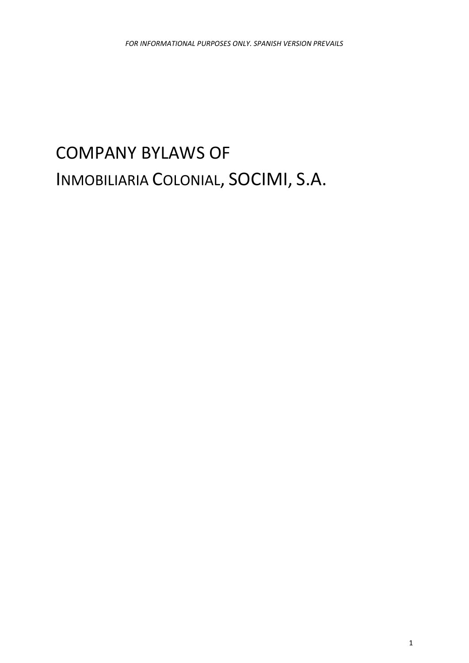# COMPANY BYLAWS OF INMOBILIARIA COLONIAL, SOCIMI, S.A.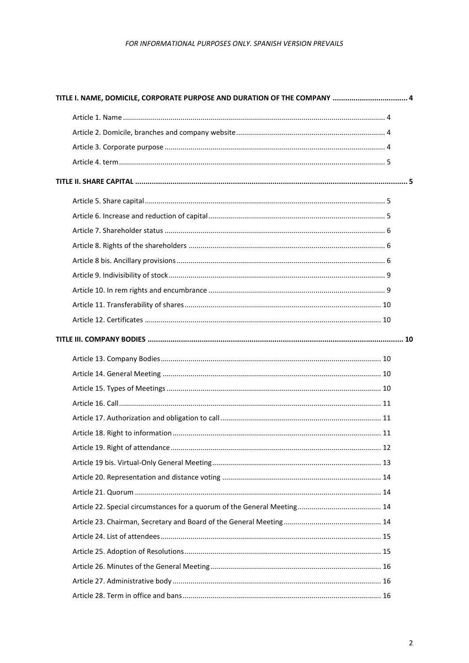| TITLE I. NAME, DOMICILE, CORPORATE PURPOSE AND DURATION OF THE COMPANY  4 |  |
|---------------------------------------------------------------------------|--|
|                                                                           |  |
|                                                                           |  |
|                                                                           |  |
|                                                                           |  |
|                                                                           |  |
|                                                                           |  |
|                                                                           |  |
|                                                                           |  |
|                                                                           |  |
|                                                                           |  |
|                                                                           |  |
|                                                                           |  |
|                                                                           |  |
|                                                                           |  |
|                                                                           |  |
|                                                                           |  |
|                                                                           |  |
|                                                                           |  |
|                                                                           |  |
|                                                                           |  |
|                                                                           |  |
|                                                                           |  |
|                                                                           |  |
|                                                                           |  |
|                                                                           |  |
|                                                                           |  |
|                                                                           |  |
|                                                                           |  |
|                                                                           |  |
|                                                                           |  |
|                                                                           |  |
|                                                                           |  |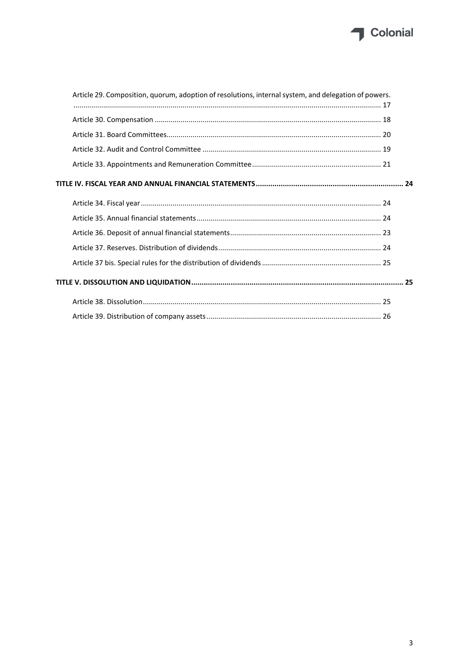# Colonial

| Article 29. Composition, quorum, adoption of resolutions, internal system, and delegation of powers. |  |
|------------------------------------------------------------------------------------------------------|--|
|                                                                                                      |  |
|                                                                                                      |  |
|                                                                                                      |  |
|                                                                                                      |  |
|                                                                                                      |  |
|                                                                                                      |  |
|                                                                                                      |  |
|                                                                                                      |  |
|                                                                                                      |  |
|                                                                                                      |  |
|                                                                                                      |  |
|                                                                                                      |  |
|                                                                                                      |  |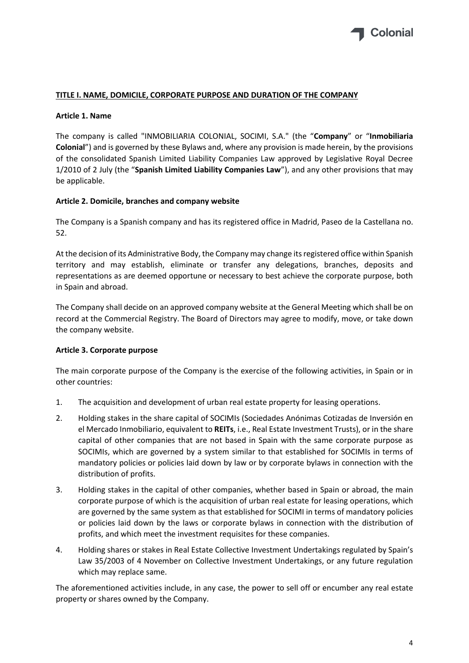

# <span id="page-3-0"></span>**TITLE I. NAME, DOMICILE, CORPORATE PURPOSE AND DURATION OF THE COMPANY**

#### <span id="page-3-1"></span>**Article 1. Name**

The company is called "INMOBILIARIA COLONIAL, SOCIMI, S.A." (the "**Company**" or "**Inmobiliaria Colonial**") and is governed by these Bylaws and, where any provision is made herein, by the provisions of the consolidated Spanish Limited Liability Companies Law approved by Legislative Royal Decree 1/2010 of 2 July (the "**Spanish Limited Liability Companies Law**"), and any other provisions that may be applicable.

#### <span id="page-3-2"></span>**Article 2. Domicile, branches and company website**

The Company is a Spanish company and has its registered office in Madrid, Paseo de la Castellana no. 52.

At the decision of its Administrative Body, the Company may change its registered office within Spanish territory and may establish, eliminate or transfer any delegations, branches, deposits and representations as are deemed opportune or necessary to best achieve the corporate purpose, both in Spain and abroad.

The Company shall decide on an approved company website at the General Meeting which shall be on record at the Commercial Registry. The Board of Directors may agree to modify, move, or take down the company website.

# <span id="page-3-3"></span>**Article 3. Corporate purpose**

The main corporate purpose of the Company is the exercise of the following activities, in Spain or in other countries:

- 1. The acquisition and development of urban real estate property for leasing operations.
- 2. Holding stakes in the share capital of SOCIMIs (Sociedades Anónimas Cotizadas de Inversión en el Mercado Inmobiliario, equivalent to **REITs**, i.e., Real Estate Investment Trusts), or in the share capital of other companies that are not based in Spain with the same corporate purpose as SOCIMIs, which are governed by a system similar to that established for SOCIMIs in terms of mandatory policies or policies laid down by law or by corporate bylaws in connection with the distribution of profits.
- 3. Holding stakes in the capital of other companies, whether based in Spain or abroad, the main corporate purpose of which is the acquisition of urban real estate for leasing operations, which are governed by the same system as that established for SOCIMI in terms of mandatory policies or policies laid down by the laws or corporate bylaws in connection with the distribution of profits, and which meet the investment requisites for these companies.
- 4. Holding shares or stakes in Real Estate Collective Investment Undertakings regulated by Spain's Law 35/2003 of 4 November on Collective Investment Undertakings, or any future regulation which may replace same.

The aforementioned activities include, in any case, the power to sell off or encumber any real estate property or shares owned by the Company.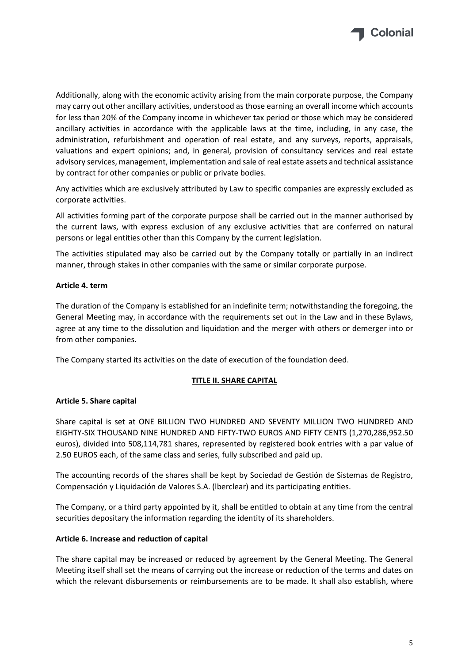

Additionally, along with the economic activity arising from the main corporate purpose, the Company may carry out other ancillary activities, understood as those earning an overall income which accounts for less than 20% of the Company income in whichever tax period or those which may be considered ancillary activities in accordance with the applicable laws at the time, including, in any case, the administration, refurbishment and operation of real estate, and any surveys, reports, appraisals, valuations and expert opinions; and, in general, provision of consultancy services and real estate advisory services, management, implementation and sale of real estate assets and technical assistance by contract for other companies or public or private bodies.

Any activities which are exclusively attributed by Law to specific companies are expressly excluded as corporate activities.

All activities forming part of the corporate purpose shall be carried out in the manner authorised by the current laws, with express exclusion of any exclusive activities that are conferred on natural persons or legal entities other than this Company by the current legislation.

The activities stipulated may also be carried out by the Company totally or partially in an indirect manner, through stakes in other companies with the same or similar corporate purpose.

# <span id="page-4-0"></span>**Article 4. term**

The duration of the Company is established for an indefinite term; notwithstanding the foregoing, the General Meeting may, in accordance with the requirements set out in the Law and in these Bylaws, agree at any time to the dissolution and liquidation and the merger with others or demerger into or from other companies.

<span id="page-4-1"></span>The Company started its activities on the date of execution of the foundation deed.

# **TITLE II. SHARE CAPITAL**

# <span id="page-4-2"></span>**Article 5. Share capital**

Share capital is set at ONE BILLION TWO HUNDRED AND SEVENTY MILLION TWO HUNDRED AND EIGHTY-SIX THOUSAND NINE HUNDRED AND FIFTY-TWO EUROS AND FIFTY CENTS (1,270,286,952.50 euros), divided into 508,114,781 shares, represented by registered book entries with a par value of 2.50 EUROS each, of the same class and series, fully subscribed and paid up.

The accounting records of the shares shall be kept by Sociedad de Gestión de Sistemas de Registro, Compensación y Liquidación de Valores S.A. (lberclear) and its participating entities.

The Company, or a third party appointed by it, shall be entitled to obtain at any time from the central securities depositary the information regarding the identity of its shareholders.

# <span id="page-4-3"></span>**Article 6. Increase and reduction of capital**

The share capital may be increased or reduced by agreement by the General Meeting. The General Meeting itself shall set the means of carrying out the increase or reduction of the terms and dates on which the relevant disbursements or reimbursements are to be made. It shall also establish, where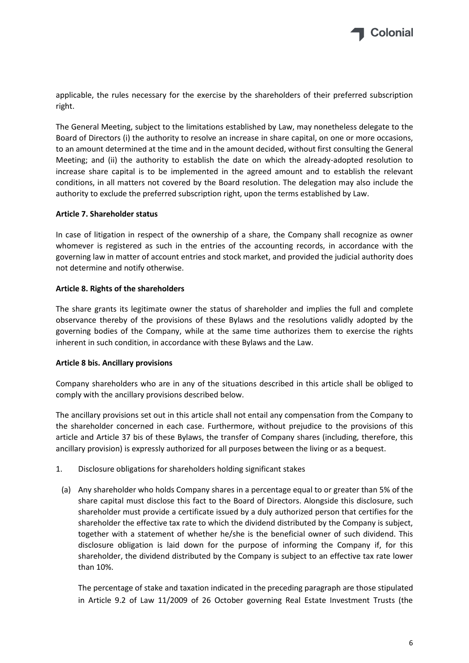

applicable, the rules necessary for the exercise by the shareholders of their preferred subscription right.

The General Meeting, subject to the limitations established by Law, may nonetheless delegate to the Board of Directors (i) the authority to resolve an increase in share capital, on one or more occasions, to an amount determined at the time and in the amount decided, without first consulting the General Meeting; and (ii) the authority to establish the date on which the already-adopted resolution to increase share capital is to be implemented in the agreed amount and to establish the relevant conditions, in all matters not covered by the Board resolution. The delegation may also include the authority to exclude the preferred subscription right, upon the terms established by Law.

# <span id="page-5-0"></span>**Article 7. Shareholder status**

In case of litigation in respect of the ownership of a share, the Company shall recognize as owner whomever is registered as such in the entries of the accounting records, in accordance with the governing law in matter of account entries and stock market, and provided the judicial authority does not determine and notify otherwise.

#### <span id="page-5-1"></span>**Article 8. Rights of the shareholders**

The share grants its legitimate owner the status of shareholder and implies the full and complete observance thereby of the provisions of these Bylaws and the resolutions validly adopted by the governing bodies of the Company, while at the same time authorizes them to exercise the rights inherent in such condition, in accordance with these Bylaws and the Law.

#### <span id="page-5-2"></span>**Article 8 bis. Ancillary provisions**

Company shareholders who are in any of the situations described in this article shall be obliged to comply with the ancillary provisions described below.

The ancillary provisions set out in this article shall not entail any compensation from the Company to the shareholder concerned in each case. Furthermore, without prejudice to the provisions of this article and Article 37 bis of these Bylaws, the transfer of Company shares (including, therefore, this ancillary provision) is expressly authorized for all purposes between the living or as a bequest.

- 1. Disclosure obligations for shareholders holding significant stakes
	- (a) Any shareholder who holds Company shares in a percentage equal to or greater than 5% of the share capital must disclose this fact to the Board of Directors. Alongside this disclosure, such shareholder must provide a certificate issued by a duly authorized person that certifies for the shareholder the effective tax rate to which the dividend distributed by the Company is subject, together with a statement of whether he/she is the beneficial owner of such dividend. This disclosure obligation is laid down for the purpose of informing the Company if, for this shareholder, the dividend distributed by the Company is subject to an effective tax rate lower than 10%.

The percentage of stake and taxation indicated in the preceding paragraph are those stipulated in Article 9.2 of Law 11/2009 of 26 October governing Real Estate Investment Trusts (the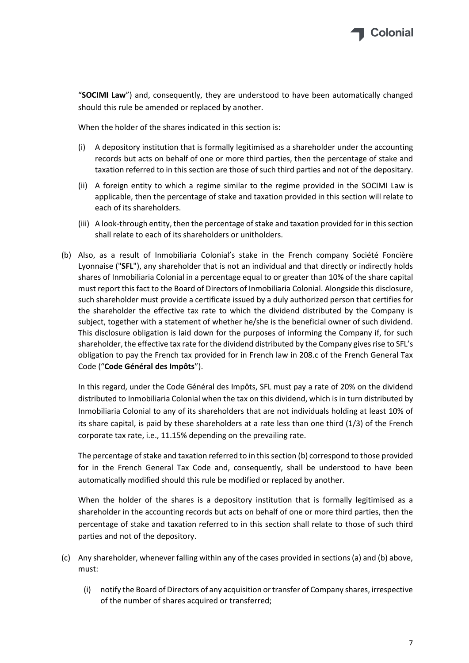

"**SOCIMI Law**") and, consequently, they are understood to have been automatically changed should this rule be amended or replaced by another.

When the holder of the shares indicated in this section is:

- (i) A depository institution that is formally legitimised as a shareholder under the accounting records but acts on behalf of one or more third parties, then the percentage of stake and taxation referred to in this section are those of such third parties and not of the depositary.
- (ii) A foreign entity to which a regime similar to the regime provided in the SOCIMI Law is applicable, then the percentage of stake and taxation provided in this section will relate to each of its shareholders.
- (iii) A look-through entity, then the percentage of stake and taxation provided for in this section shall relate to each of its shareholders or unitholders.
- (b) Also, as a result of Inmobiliaria Colonial's stake in the French company Société Foncière Lyonnaise ("**SFL**"), any shareholder that is not an individual and that directly or indirectly holds shares of Inmobiliaria Colonial in a percentage equal to or greater than 10% of the share capital must report this fact to the Board of Directors of Inmobiliaria Colonial. Alongside this disclosure, such shareholder must provide a certificate issued by a duly authorized person that certifies for the shareholder the effective tax rate to which the dividend distributed by the Company is subject, together with a statement of whether he/she is the beneficial owner of such dividend. This disclosure obligation is laid down for the purposes of informing the Company if, for such shareholder, the effective tax rate forthe dividend distributed by the Company gives rise to SFL's obligation to pay the French tax provided for in French law in 208.c of the French General Tax Code ("**Code Général des Impôts**").

In this regard, under the Code Général des Impôts, SFL must pay a rate of 20% on the dividend distributed to Inmobiliaria Colonial when the tax on this dividend, which is in turn distributed by Inmobiliaria Colonial to any of its shareholders that are not individuals holding at least 10% of its share capital, is paid by these shareholders at a rate less than one third (1/3) of the French corporate tax rate, i.e., 11.15% depending on the prevailing rate.

The percentage of stake and taxation referred to in this section (b) correspond to those provided for in the French General Tax Code and, consequently, shall be understood to have been automatically modified should this rule be modified or replaced by another.

When the holder of the shares is a depository institution that is formally legitimised as a shareholder in the accounting records but acts on behalf of one or more third parties, then the percentage of stake and taxation referred to in this section shall relate to those of such third parties and not of the depository.

- (c) Any shareholder, whenever falling within any of the cases provided in sections (a) and (b) above, must:
	- (i) notify the Board of Directors of any acquisition or transfer of Company shares, irrespective of the number of shares acquired or transferred;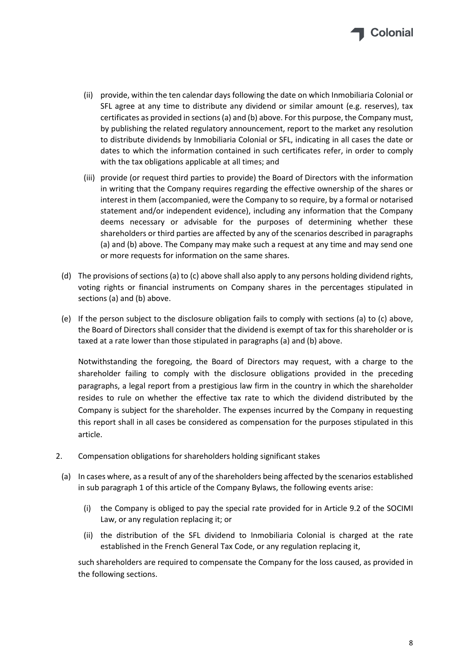

- (ii) provide, within the ten calendar days following the date on which Inmobiliaria Colonial or SFL agree at any time to distribute any dividend or similar amount (e.g. reserves), tax certificates as provided in sections (a) and (b) above. For this purpose, the Company must, by publishing the related regulatory announcement, report to the market any resolution to distribute dividends by Inmobiliaria Colonial or SFL, indicating in all cases the date or dates to which the information contained in such certificates refer, in order to comply with the tax obligations applicable at all times; and
- (iii) provide (or request third parties to provide) the Board of Directors with the information in writing that the Company requires regarding the effective ownership of the shares or interest in them (accompanied, were the Company to so require, by a formal or notarised statement and/or independent evidence), including any information that the Company deems necessary or advisable for the purposes of determining whether these shareholders or third parties are affected by any of the scenarios described in paragraphs (a) and (b) above. The Company may make such a request at any time and may send one or more requests for information on the same shares.
- (d) The provisions of sections (a) to (c) above shall also apply to any persons holding dividend rights, voting rights or financial instruments on Company shares in the percentages stipulated in sections (a) and (b) above.
- (e) If the person subject to the disclosure obligation fails to comply with sections (a) to (c) above, the Board of Directors shall consider that the dividend is exempt of tax for this shareholder or is taxed at a rate lower than those stipulated in paragraphs (a) and (b) above.

Notwithstanding the foregoing, the Board of Directors may request, with a charge to the shareholder failing to comply with the disclosure obligations provided in the preceding paragraphs, a legal report from a prestigious law firm in the country in which the shareholder resides to rule on whether the effective tax rate to which the dividend distributed by the Company is subject for the shareholder. The expenses incurred by the Company in requesting this report shall in all cases be considered as compensation for the purposes stipulated in this article.

- 2. Compensation obligations for shareholders holding significant stakes
- (a) In cases where, as a result of any of the shareholders being affected by the scenarios established in sub paragraph 1 of this article of the Company Bylaws, the following events arise:
	- (i) the Company is obliged to pay the special rate provided for in Article 9.2 of the SOCIMI Law, or any regulation replacing it; or
	- (ii) the distribution of the SFL dividend to Inmobiliaria Colonial is charged at the rate established in the French General Tax Code, or any regulation replacing it,

such shareholders are required to compensate the Company for the loss caused, as provided in the following sections.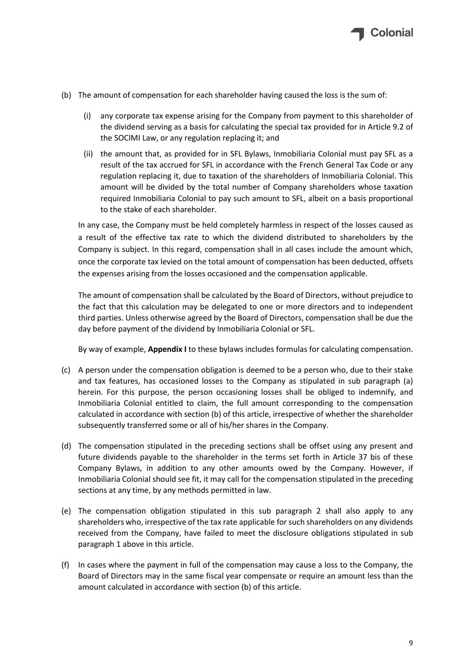

- (b) The amount of compensation for each shareholder having caused the loss is the sum of:
	- (i) any corporate tax expense arising for the Company from payment to this shareholder of the dividend serving as a basis for calculating the special tax provided for in Article 9.2 of the SOCIMI Law, or any regulation replacing it; and
	- (ii) the amount that, as provided for in SFL Bylaws, Inmobiliaria Colonial must pay SFL as a result of the tax accrued for SFL in accordance with the French General Tax Code or any regulation replacing it, due to taxation of the shareholders of Inmobiliaria Colonial. This amount will be divided by the total number of Company shareholders whose taxation required Inmobiliaria Colonial to pay such amount to SFL, albeit on a basis proportional to the stake of each shareholder.

In any case, the Company must be held completely harmless in respect of the losses caused as a result of the effective tax rate to which the dividend distributed to shareholders by the Company is subject. In this regard, compensation shall in all cases include the amount which, once the corporate tax levied on the total amount of compensation has been deducted, offsets the expenses arising from the losses occasioned and the compensation applicable.

The amount of compensation shall be calculated by the Board of Directors, without prejudice to the fact that this calculation may be delegated to one or more directors and to independent third parties. Unless otherwise agreed by the Board of Directors, compensation shall be due the day before payment of the dividend by Inmobiliaria Colonial or SFL.

By way of example, **Appendix I** to these bylaws includes formulas for calculating compensation.

- (c) A person under the compensation obligation is deemed to be a person who, due to their stake and tax features, has occasioned losses to the Company as stipulated in sub paragraph (a) herein. For this purpose, the person occasioning losses shall be obliged to indemnify, and Inmobiliaria Colonial entitled to claim, the full amount corresponding to the compensation calculated in accordance with section (b) of this article, irrespective of whether the shareholder subsequently transferred some or all of his/her shares in the Company.
- (d) The compensation stipulated in the preceding sections shall be offset using any present and future dividends payable to the shareholder in the terms set forth in Article 37 bis of these Company Bylaws, in addition to any other amounts owed by the Company. However, if Inmobiliaria Colonial should see fit, it may call for the compensation stipulated in the preceding sections at any time, by any methods permitted in law.
- (e) The compensation obligation stipulated in this sub paragraph 2 shall also apply to any shareholders who, irrespective of the tax rate applicable for such shareholders on any dividends received from the Company, have failed to meet the disclosure obligations stipulated in sub paragraph 1 above in this article.
- (f) In cases where the payment in full of the compensation may cause a loss to the Company, the Board of Directors may in the same fiscal year compensate or require an amount less than the amount calculated in accordance with section (b) of this article.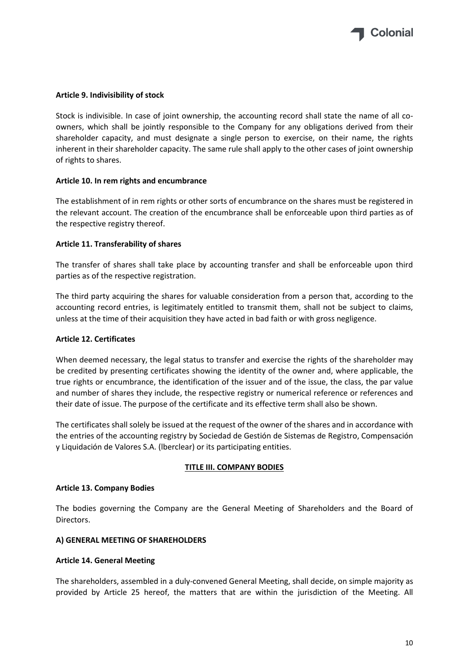

# <span id="page-9-0"></span>**Article 9. Indivisibility of stock**

Stock is indivisible. In case of joint ownership, the accounting record shall state the name of all coowners, which shall be jointly responsible to the Company for any obligations derived from their shareholder capacity, and must designate a single person to exercise, on their name, the rights inherent in their shareholder capacity. The same rule shall apply to the other cases of joint ownership of rights to shares.

#### <span id="page-9-1"></span>**Article 10. In rem rights and encumbrance**

The establishment of in rem rights or other sorts of encumbrance on the shares must be registered in the relevant account. The creation of the encumbrance shall be enforceable upon third parties as of the respective registry thereof.

#### <span id="page-9-2"></span>**Article 11. Transferability of shares**

The transfer of shares shall take place by accounting transfer and shall be enforceable upon third parties as of the respective registration.

The third party acquiring the shares for valuable consideration from a person that, according to the accounting record entries, is legitimately entitled to transmit them, shall not be subject to claims, unless at the time of their acquisition they have acted in bad faith or with gross negligence.

# <span id="page-9-3"></span>**Article 12. Certificates**

When deemed necessary, the legal status to transfer and exercise the rights of the shareholder may be credited by presenting certificates showing the identity of the owner and, where applicable, the true rights or encumbrance, the identification of the issuer and of the issue, the class, the par value and number of shares they include, the respective registry or numerical reference or references and their date of issue. The purpose of the certificate and its effective term shall also be shown.

The certificates shall solely be issued at the request of the owner of the shares and in accordance with the entries of the accounting registry by Sociedad de Gestión de Sistemas de Registro, Compensación y Liquidación de Valores S.A. (lberclear) or its participating entities.

# **TITLE III. COMPANY BODIES**

# <span id="page-9-5"></span><span id="page-9-4"></span>**Article 13. Company Bodies**

The bodies governing the Company are the General Meeting of Shareholders and the Board of Directors.

# **A) GENERAL MEETING OF SHAREHOLDERS**

#### <span id="page-9-6"></span>**Article 14. General Meeting**

The shareholders, assembled in a duly-convened General Meeting, shall decide, on simple majority as provided by Article 25 hereof, the matters that are within the jurisdiction of the Meeting. All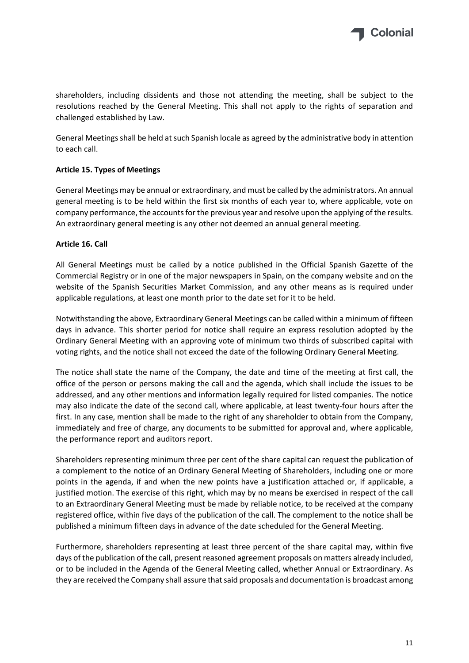shareholders, including dissidents and those not attending the meeting, shall be subject to the resolutions reached by the General Meeting. This shall not apply to the rights of separation and challenged established by Law.

General Meetings shall be held at such Spanish locale as agreed by the administrative body in attention to each call.

# <span id="page-10-0"></span>**Article 15. Types of Meetings**

General Meetings may be annual or extraordinary, and must be called by the administrators. An annual general meeting is to be held within the first six months of each year to, where applicable, vote on company performance, the accounts for the previous year and resolve upon the applying of the results. An extraordinary general meeting is any other not deemed an annual general meeting.

# <span id="page-10-1"></span>**Article 16. Call**

All General Meetings must be called by a notice published in the Official Spanish Gazette of the Commercial Registry or in one of the major newspapers in Spain, on the company website and on the website of the Spanish Securities Market Commission, and any other means as is required under applicable regulations, at least one month prior to the date set for it to be held.

Notwithstanding the above, Extraordinary General Meetings can be called within a minimum of fifteen days in advance. This shorter period for notice shall require an express resolution adopted by the Ordinary General Meeting with an approving vote of minimum two thirds of subscribed capital with voting rights, and the notice shall not exceed the date of the following Ordinary General Meeting.

The notice shall state the name of the Company, the date and time of the meeting at first call, the office of the person or persons making the call and the agenda, which shall include the issues to be addressed, and any other mentions and information legally required for listed companies. The notice may also indicate the date of the second call, where applicable, at least twenty-four hours after the first. In any case, mention shall be made to the right of any shareholder to obtain from the Company, immediately and free of charge, any documents to be submitted for approval and, where applicable, the performance report and auditors report.

Shareholders representing minimum three per cent of the share capital can request the publication of a complement to the notice of an Ordinary General Meeting of Shareholders, including one or more points in the agenda, if and when the new points have a justification attached or, if applicable, a justified motion. The exercise of this right, which may by no means be exercised in respect of the call to an Extraordinary General Meeting must be made by reliable notice, to be received at the company registered office, within five days of the publication of the call. The complement to the notice shall be published a minimum fifteen days in advance of the date scheduled for the General Meeting.

Furthermore, shareholders representing at least three percent of the share capital may, within five days of the publication of the call, present reasoned agreement proposals on matters already included, or to be included in the Agenda of the General Meeting called, whether Annual or Extraordinary. As they are received the Company shall assure that said proposals and documentation is broadcast among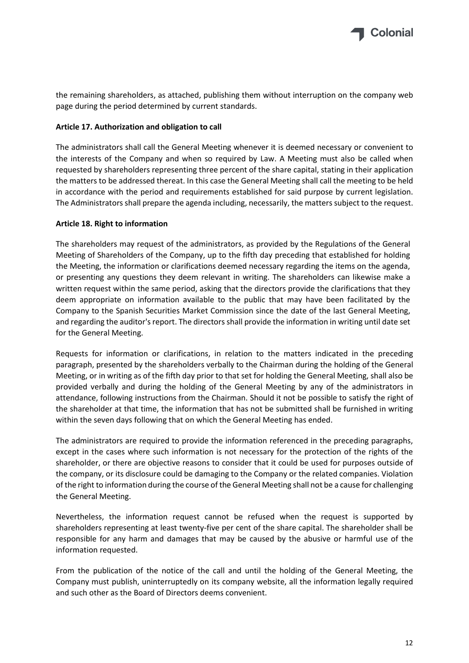

the remaining shareholders, as attached, publishing them without interruption on the company web page during the period determined by current standards.

# <span id="page-11-0"></span>**Article 17. Authorization and obligation to call**

The administrators shall call the General Meeting whenever it is deemed necessary or convenient to the interests of the Company and when so required by Law. A Meeting must also be called when requested by shareholders representing three percent of the share capital, stating in their application the matters to be addressed thereat. In this case the General Meeting shall call the meeting to be held in accordance with the period and requirements established for said purpose by current legislation. The Administrators shall prepare the agenda including, necessarily, the matters subject to the request.

# <span id="page-11-1"></span>**Article 18. Right to information**

The shareholders may request of the administrators, as provided by the Regulations of the General Meeting of Shareholders of the Company, up to the fifth day preceding that established for holding the Meeting, the information or clarifications deemed necessary regarding the items on the agenda, or presenting any questions they deem relevant in writing. The shareholders can likewise make a written request within the same period, asking that the directors provide the clarifications that they deem appropriate on information available to the public that may have been facilitated by the Company to the Spanish Securities Market Commission since the date of the last General Meeting, and regarding the auditor's report. The directors shall provide the information in writing until date set for the General Meeting.

Requests for information or clarifications, in relation to the matters indicated in the preceding paragraph, presented by the shareholders verbally to the Chairman during the holding of the General Meeting, or in writing as of the fifth day prior to that set for holding the General Meeting, shall also be provided verbally and during the holding of the General Meeting by any of the administrators in attendance, following instructions from the Chairman. Should it not be possible to satisfy the right of the shareholder at that time, the information that has not be submitted shall be furnished in writing within the seven days following that on which the General Meeting has ended.

The administrators are required to provide the information referenced in the preceding paragraphs, except in the cases where such information is not necessary for the protection of the rights of the shareholder, or there are objective reasons to consider that it could be used for purposes outside of the company, or its disclosure could be damaging to the Company or the related companies. Violation of the right to information during the course of the General Meeting shall not be a cause for challenging the General Meeting.

Nevertheless, the information request cannot be refused when the request is supported by shareholders representing at least twenty-five per cent of the share capital. The shareholder shall be responsible for any harm and damages that may be caused by the abusive or harmful use of the information requested.

From the publication of the notice of the call and until the holding of the General Meeting, the Company must publish, uninterruptedly on its company website, all the information legally required and such other as the Board of Directors deems convenient.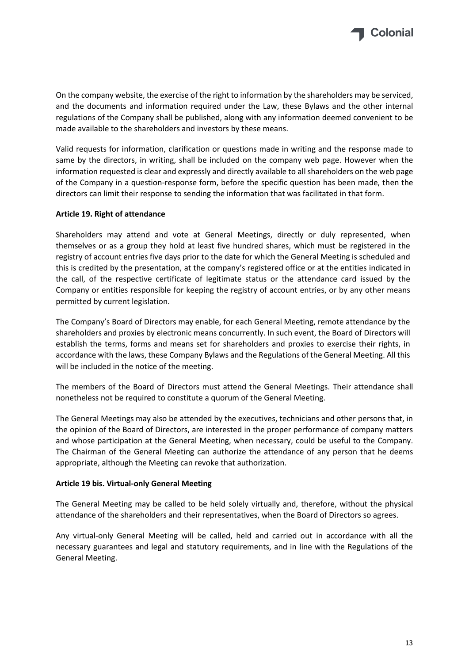

On the company website, the exercise of the right to information by the shareholders may be serviced, and the documents and information required under the Law, these Bylaws and the other internal regulations of the Company shall be published, along with any information deemed convenient to be made available to the shareholders and investors by these means.

Valid requests for information, clarification or questions made in writing and the response made to same by the directors, in writing, shall be included on the company web page. However when the information requested is clear and expressly and directly available to all shareholders on the web page of the Company in a question-response form, before the specific question has been made, then the directors can limit their response to sending the information that was facilitated in that form.

# <span id="page-12-0"></span>**Article 19. Right of attendance**

Shareholders may attend and vote at General Meetings, directly or duly represented, when themselves or as a group they hold at least five hundred shares, which must be registered in the registry of account entries five days prior to the date for which the General Meeting is scheduled and this is credited by the presentation, at the company's registered office or at the entities indicated in the call, of the respective certificate of legitimate status or the attendance card issued by the Company or entities responsible for keeping the registry of account entries, or by any other means permitted by current legislation.

The Company's Board of Directors may enable, for each General Meeting, remote attendance by the shareholders and proxies by electronic means concurrently. In such event, the Board of Directors will establish the terms, forms and means set for shareholders and proxies to exercise their rights, in accordance with the laws, these Company Bylaws and the Regulations of the General Meeting. All this will be included in the notice of the meeting.

The members of the Board of Directors must attend the General Meetings. Their attendance shall nonetheless not be required to constitute a quorum of the General Meeting.

The General Meetings may also be attended by the executives, technicians and other persons that, in the opinion of the Board of Directors, are interested in the proper performance of company matters and whose participation at the General Meeting, when necessary, could be useful to the Company. The Chairman of the General Meeting can authorize the attendance of any person that he deems appropriate, although the Meeting can revoke that authorization.

# **Article 19 bis. Virtual-only General Meeting**

The General Meeting may be called to be held solely virtually and, therefore, without the physical attendance of the shareholders and their representatives, when the Board of Directors so agrees.

Any virtual-only General Meeting will be called, held and carried out in accordance with all the necessary guarantees and legal and statutory requirements, and in line with the Regulations of the General Meeting.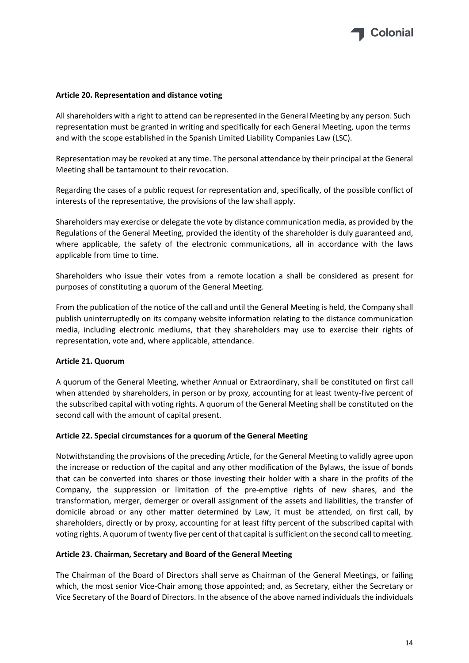

# <span id="page-13-0"></span>**Article 20. Representation and distance voting**

All shareholders with a right to attend can be represented in the General Meeting by any person. Such representation must be granted in writing and specifically for each General Meeting, upon the terms and with the scope established in the Spanish Limited Liability Companies Law (LSC).

Representation may be revoked at any time. The personal attendance by their principal at the General Meeting shall be tantamount to their revocation.

Regarding the cases of a public request for representation and, specifically, of the possible conflict of interests of the representative, the provisions of the law shall apply.

Shareholders may exercise or delegate the vote by distance communication media, as provided by the Regulations of the General Meeting, provided the identity of the shareholder is duly guaranteed and, where applicable, the safety of the electronic communications, all in accordance with the laws applicable from time to time.

Shareholders who issue their votes from a remote location a shall be considered as present for purposes of constituting a quorum of the General Meeting.

From the publication of the notice of the call and until the General Meeting is held, the Company shall publish uninterruptedly on its company website information relating to the distance communication media, including electronic mediums, that they shareholders may use to exercise their rights of representation, vote and, where applicable, attendance.

#### <span id="page-13-1"></span>**Article 21. Quorum**

A quorum of the General Meeting, whether Annual or Extraordinary, shall be constituted on first call when attended by shareholders, in person or by proxy, accounting for at least twenty-five percent of the subscribed capital with voting rights. A quorum of the General Meeting shall be constituted on the second call with the amount of capital present.

#### <span id="page-13-2"></span>**Article 22. Special circumstances for a quorum of the General Meeting**

Notwithstanding the provisions of the preceding Article, for the General Meeting to validly agree upon the increase or reduction of the capital and any other modification of the Bylaws, the issue of bonds that can be converted into shares or those investing their holder with a share in the profits of the Company, the suppression or limitation of the pre-emptive rights of new shares, and the transformation, merger, demerger or overall assignment of the assets and liabilities, the transfer of domicile abroad or any other matter determined by Law, it must be attended, on first call, by shareholders, directly or by proxy, accounting for at least fifty percent of the subscribed capital with voting rights. A quorum of twenty five per cent of that capital is sufficient on the second call to meeting.

#### <span id="page-13-3"></span>**Article 23. Chairman, Secretary and Board of the General Meeting**

The Chairman of the Board of Directors shall serve as Chairman of the General Meetings, or failing which, the most senior Vice-Chair among those appointed; and, as Secretary, either the Secretary or Vice Secretary of the Board of Directors. In the absence of the above named individuals the individuals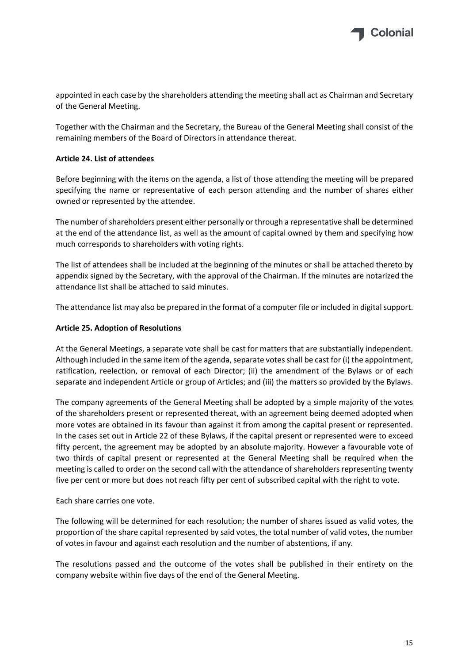

appointed in each case by the shareholders attending the meeting shall act as Chairman and Secretary of the General Meeting.

Together with the Chairman and the Secretary, the Bureau of the General Meeting shall consist of the remaining members of the Board of Directors in attendance thereat.

# <span id="page-14-0"></span>**Article 24. List of attendees**

Before beginning with the items on the agenda, a list of those attending the meeting will be prepared specifying the name or representative of each person attending and the number of shares either owned or represented by the attendee.

The number of shareholders present either personally or through a representative shall be determined at the end of the attendance list, as well as the amount of capital owned by them and specifying how much corresponds to shareholders with voting rights.

The list of attendees shall be included at the beginning of the minutes or shall be attached thereto by appendix signed by the Secretary, with the approval of the Chairman. If the minutes are notarized the attendance list shall be attached to said minutes.

The attendance list may also be prepared in the format of a computer file or included in digital support.

# <span id="page-14-1"></span>**Article 25. Adoption of Resolutions**

At the General Meetings, a separate vote shall be cast for matters that are substantially independent. Although included in the same item of the agenda, separate votes shall be cast for (i) the appointment, ratification, reelection, or removal of each Director; (ii) the amendment of the Bylaws or of each separate and independent Article or group of Articles; and (iii) the matters so provided by the Bylaws.

The company agreements of the General Meeting shall be adopted by a simple majority of the votes of the shareholders present or represented thereat, with an agreement being deemed adopted when more votes are obtained in its favour than against it from among the capital present or represented. In the cases set out in Article 22 of these Bylaws, if the capital present or represented were to exceed fifty percent, the agreement may be adopted by an absolute majority. However a favourable vote of two thirds of capital present or represented at the General Meeting shall be required when the meeting is called to order on the second call with the attendance of shareholders representing twenty five per cent or more but does not reach fifty per cent of subscribed capital with the right to vote.

Each share carries one vote.

The following will be determined for each resolution; the number of shares issued as valid votes, the proportion of the share capital represented by said votes, the total number of valid votes, the number of votes in favour and against each resolution and the number of abstentions, if any.

The resolutions passed and the outcome of the votes shall be published in their entirety on the company website within five days of the end of the General Meeting.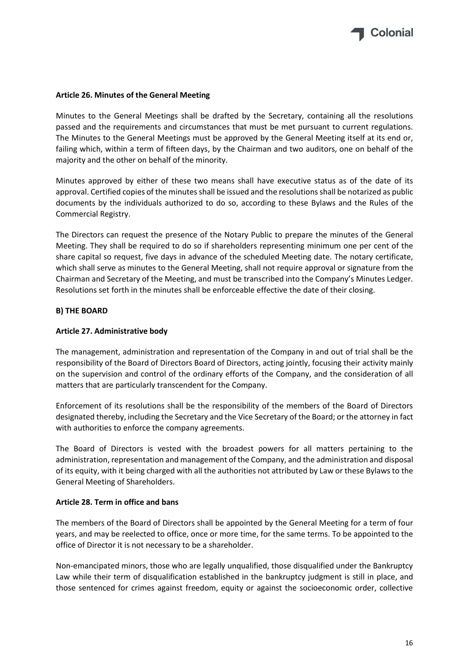

# <span id="page-15-0"></span>**Article 26. Minutes of the General Meeting**

Minutes to the General Meetings shall be drafted by the Secretary, containing all the resolutions passed and the requirements and circumstances that must be met pursuant to current regulations. The Minutes to the General Meetings must be approved by the General Meeting itself at its end or, failing which, within a term of fifteen days, by the Chairman and two auditors, one on behalf of the majority and the other on behalf of the minority.

Minutes approved by either of these two means shall have executive status as of the date of its approval. Certified copies of the minutes shall be issued and the resolutions shall be notarized as public documents by the individuals authorized to do so, according to these Bylaws and the Rules of the Commercial Registry.

The Directors can request the presence of the Notary Public to prepare the minutes of the General Meeting. They shall be required to do so if shareholders representing minimum one per cent of the share capital so request, five days in advance of the scheduled Meeting date. The notary certificate, which shall serve as minutes to the General Meeting, shall not require approval or signature from the Chairman and Secretary of the Meeting, and must be transcribed into the Company's Minutes Ledger. Resolutions set forth in the minutes shall be enforceable effective the date of their closing.

#### **B) THE BOARD**

#### <span id="page-15-1"></span>**Article 27. Administrative body**

The management, administration and representation of the Company in and out of trial shall be the responsibility of the Board of Directors Board of Directors, acting jointly, focusing their activity mainly on the supervision and control of the ordinary efforts of the Company, and the consideration of all matters that are particularly transcendent for the Company.

Enforcement of its resolutions shall be the responsibility of the members of the Board of Directors designated thereby, including the Secretary and the Vice Secretary of the Board; or the attorney in fact with authorities to enforce the company agreements.

The Board of Directors is vested with the broadest powers for all matters pertaining to the administration, representation and management of the Company, and the administration and disposal of its equity, with it being charged with all the authorities not attributed by Law or these Bylaws to the General Meeting of Shareholders.

#### <span id="page-15-2"></span>**Article 28. Term in office and bans**

The members of the Board of Directors shall be appointed by the General Meeting for a term of four years, and may be reelected to office, once or more time, for the same terms. To be appointed to the office of Director it is not necessary to be a shareholder.

Non-emancipated minors, those who are legally unqualified, those disqualified under the Bankruptcy Law while their term of disqualification established in the bankruptcy judgment is still in place, and those sentenced for crimes against freedom, equity or against the socioeconomic order, collective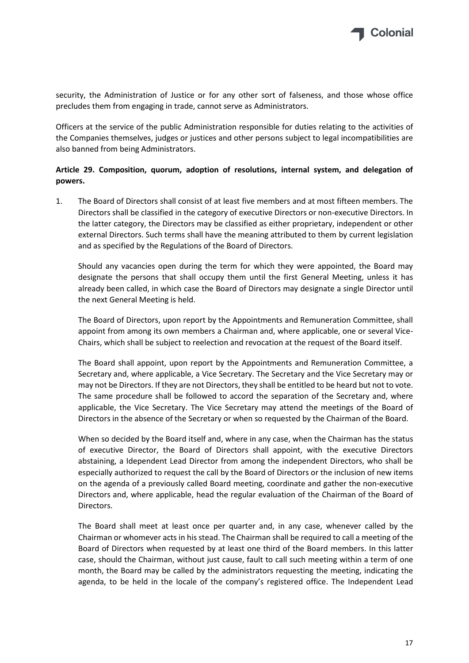

security, the Administration of Justice or for any other sort of falseness, and those whose office precludes them from engaging in trade, cannot serve as Administrators.

Officers at the service of the public Administration responsible for duties relating to the activities of the Companies themselves, judges or justices and other persons subject to legal incompatibilities are also banned from being Administrators.

# <span id="page-16-0"></span>**Article 29. Composition, quorum, adoption of resolutions, internal system, and delegation of powers.**

1. The Board of Directors shall consist of at least five members and at most fifteen members. The Directors shall be classified in the category of executive Directors or non-executive Directors. In the latter category, the Directors may be classified as either proprietary, independent or other external Directors. Such terms shall have the meaning attributed to them by current legislation and as specified by the Regulations of the Board of Directors.

Should any vacancies open during the term for which they were appointed, the Board may designate the persons that shall occupy them until the first General Meeting, unless it has already been called, in which case the Board of Directors may designate a single Director until the next General Meeting is held.

The Board of Directors, upon report by the Appointments and Remuneration Committee, shall appoint from among its own members a Chairman and, where applicable, one or several Vice-Chairs, which shall be subject to reelection and revocation at the request of the Board itself.

The Board shall appoint, upon report by the Appointments and Remuneration Committee, a Secretary and, where applicable, a Vice Secretary. The Secretary and the Vice Secretary may or may not be Directors. If they are not Directors, they shall be entitled to be heard but not to vote. The same procedure shall be followed to accord the separation of the Secretary and, where applicable, the Vice Secretary. The Vice Secretary may attend the meetings of the Board of Directors in the absence of the Secretary or when so requested by the Chairman of the Board.

When so decided by the Board itself and, where in any case, when the Chairman has the status of executive Director, the Board of Directors shall appoint, with the executive Directors abstaining, a Idependent Lead Director from among the independent Directors, who shall be especially authorized to request the call by the Board of Directors or the inclusion of new items on the agenda of a previously called Board meeting, coordinate and gather the non-executive Directors and, where applicable, head the regular evaluation of the Chairman of the Board of Directors.

The Board shall meet at least once per quarter and, in any case, whenever called by the Chairman or whomever acts in his stead. The Chairman shall be required to call a meeting of the Board of Directors when requested by at least one third of the Board members. In this latter case, should the Chairman, without just cause, fault to call such meeting within a term of one month, the Board may be called by the administrators requesting the meeting, indicating the agenda, to be held in the locale of the company's registered office. The Independent Lead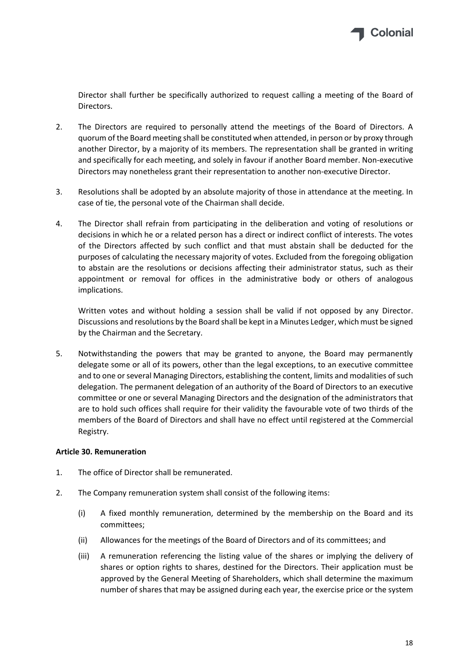

Director shall further be specifically authorized to request calling a meeting of the Board of Directors.

- 2. The Directors are required to personally attend the meetings of the Board of Directors. A quorum of the Board meeting shall be constituted when attended, in person or by proxy through another Director, by a majority of its members. The representation shall be granted in writing and specifically for each meeting, and solely in favour if another Board member. Non-executive Directors may nonetheless grant their representation to another non-executive Director.
- 3. Resolutions shall be adopted by an absolute majority of those in attendance at the meeting. In case of tie, the personal vote of the Chairman shall decide.
- 4. The Director shall refrain from participating in the deliberation and voting of resolutions or decisions in which he or a related person has a direct or indirect conflict of interests. The votes of the Directors affected by such conflict and that must abstain shall be deducted for the purposes of calculating the necessary majority of votes. Excluded from the foregoing obligation to abstain are the resolutions or decisions affecting their administrator status, such as their appointment or removal for offices in the administrative body or others of analogous implications.

Written votes and without holding a session shall be valid if not opposed by any Director. Discussions and resolutions by the Board shall be kept in a Minutes Ledger, which must be signed by the Chairman and the Secretary.

5. Notwithstanding the powers that may be granted to anyone, the Board may permanently delegate some or all of its powers, other than the legal exceptions, to an executive committee and to one or several Managing Directors, establishing the content, limits and modalities of such delegation. The permanent delegation of an authority of the Board of Directors to an executive committee or one or several Managing Directors and the designation of the administrators that are to hold such offices shall require for their validity the favourable vote of two thirds of the members of the Board of Directors and shall have no effect until registered at the Commercial Registry.

# <span id="page-17-0"></span>**Article 30. Remuneration**

- 1. The office of Director shall be remunerated.
- 2. The Company remuneration system shall consist of the following items:
	- (i) A fixed monthly remuneration, determined by the membership on the Board and its committees;
	- (ii) Allowances for the meetings of the Board of Directors and of its committees; and
	- (iii) A remuneration referencing the listing value of the shares or implying the delivery of shares or option rights to shares, destined for the Directors. Their application must be approved by the General Meeting of Shareholders, which shall determine the maximum number of shares that may be assigned during each year, the exercise price or the system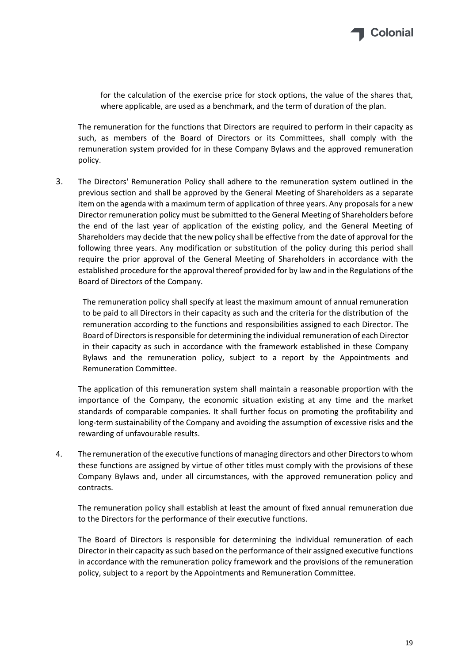

for the calculation of the exercise price for stock options, the value of the shares that, where applicable, are used as a benchmark, and the term of duration of the plan.

The remuneration for the functions that Directors are required to perform in their capacity as such, as members of the Board of Directors or its Committees, shall comply with the remuneration system provided for in these Company Bylaws and the approved remuneration policy.

3. The Directors' Remuneration Policy shall adhere to the remuneration system outlined in the previous section and shall be approved by the General Meeting of Shareholders as a separate item on the agenda with a maximum term of application of three years. Any proposals for a new Director remuneration policy must be submitted to the General Meeting of Shareholders before the end of the last year of application of the existing policy, and the General Meeting of Shareholders may decide that the new policy shall be effective from the date of approval for the following three years. Any modification or substitution of the policy during this period shall require the prior approval of the General Meeting of Shareholders in accordance with the established procedure for the approval thereof provided for by law and in the Regulations of the Board of Directors of the Company.

The remuneration policy shall specify at least the maximum amount of annual remuneration to be paid to all Directors in their capacity as such and the criteria for the distribution of the remuneration according to the functions and responsibilities assigned to each Director. The Board of Directors is responsible for determining the individual remuneration of each Director in their capacity as such in accordance with the framework established in these Company Bylaws and the remuneration policy, subject to a report by the Appointments and Remuneration Committee.

The application of this remuneration system shall maintain a reasonable proportion with the importance of the Company, the economic situation existing at any time and the market standards of comparable companies. It shall further focus on promoting the profitability and long-term sustainability of the Company and avoiding the assumption of excessive risks and the rewarding of unfavourable results.

4. The remuneration of the executive functions of managing directors and other Directors to whom these functions are assigned by virtue of other titles must comply with the provisions of these Company Bylaws and, under all circumstances, with the approved remuneration policy and contracts.

The remuneration policy shall establish at least the amount of fixed annual remuneration due to the Directors for the performance of their executive functions.

The Board of Directors is responsible for determining the individual remuneration of each Director in their capacity as such based on the performance of their assigned executive functions in accordance with the remuneration policy framework and the provisions of the remuneration policy, subject to a report by the Appointments and Remuneration Committee.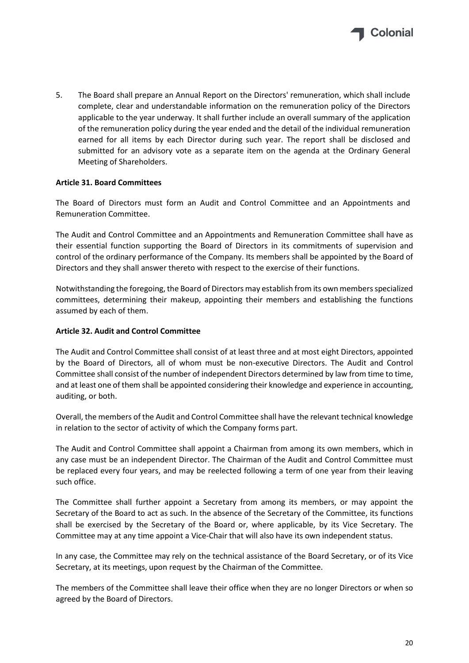

5. The Board shall prepare an Annual Report on the Directors' remuneration, which shall include complete, clear and understandable information on the remuneration policy of the Directors applicable to the year underway. It shall further include an overall summary of the application of the remuneration policy during the year ended and the detail of the individual remuneration earned for all items by each Director during such year. The report shall be disclosed and submitted for an advisory vote as a separate item on the agenda at the Ordinary General Meeting of Shareholders.

# <span id="page-19-0"></span>**Article 31. Board Committees**

The Board of Directors must form an Audit and Control Committee and an Appointments and Remuneration Committee.

The Audit and Control Committee and an Appointments and Remuneration Committee shall have as their essential function supporting the Board of Directors in its commitments of supervision and control of the ordinary performance of the Company. Its members shall be appointed by the Board of Directors and they shall answer thereto with respect to the exercise of their functions.

Notwithstanding the foregoing, the Board of Directors may establish from its own members specialized committees, determining their makeup, appointing their members and establishing the functions assumed by each of them.

#### <span id="page-19-1"></span>**Article 32. Audit and Control Committee**

The Audit and Control Committee shall consist of at least three and at most eight Directors, appointed by the Board of Directors, all of whom must be non-executive Directors. The Audit and Control Committee shall consist of the number of independent Directors determined by law from time to time, and at least one of them shall be appointed considering their knowledge and experience in accounting, auditing, or both.

Overall, the members of the Audit and Control Committee shall have the relevant technical knowledge in relation to the sector of activity of which the Company forms part.

The Audit and Control Committee shall appoint a Chairman from among its own members, which in any case must be an independent Director. The Chairman of the Audit and Control Committee must be replaced every four years, and may be reelected following a term of one year from their leaving such office.

The Committee shall further appoint a Secretary from among its members, or may appoint the Secretary of the Board to act as such. In the absence of the Secretary of the Committee, its functions shall be exercised by the Secretary of the Board or, where applicable, by its Vice Secretary. The Committee may at any time appoint a Vice-Chair that will also have its own independent status.

In any case, the Committee may rely on the technical assistance of the Board Secretary, or of its Vice Secretary, at its meetings, upon request by the Chairman of the Committee.

The members of the Committee shall leave their office when they are no longer Directors or when so agreed by the Board of Directors.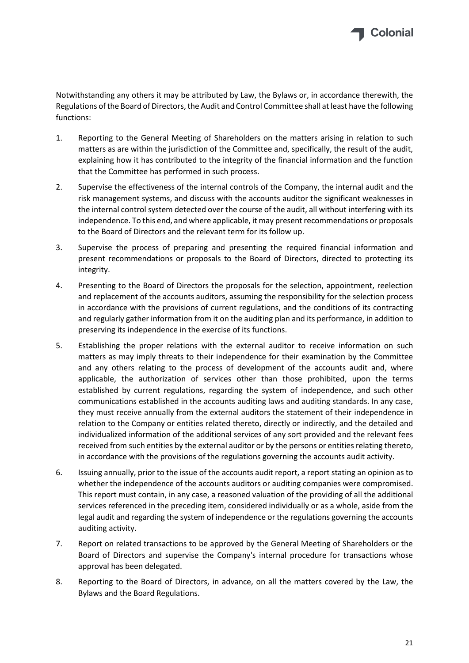

Notwithstanding any others it may be attributed by Law, the Bylaws or, in accordance therewith, the Regulations of the Board of Directors, the Audit and Control Committee shall at least have the following functions:

- 1. Reporting to the General Meeting of Shareholders on the matters arising in relation to such matters as are within the jurisdiction of the Committee and, specifically, the result of the audit, explaining how it has contributed to the integrity of the financial information and the function that the Committee has performed in such process.
- 2. Supervise the effectiveness of the internal controls of the Company, the internal audit and the risk management systems, and discuss with the accounts auditor the significant weaknesses in the internal control system detected over the course of the audit, all without interfering with its independence. To this end, and where applicable, it may present recommendations or proposals to the Board of Directors and the relevant term for its follow up.
- 3. Supervise the process of preparing and presenting the required financial information and present recommendations or proposals to the Board of Directors, directed to protecting its integrity.
- 4. Presenting to the Board of Directors the proposals for the selection, appointment, reelection and replacement of the accounts auditors, assuming the responsibility for the selection process in accordance with the provisions of current regulations, and the conditions of its contracting and regularly gather information from it on the auditing plan and its performance, in addition to preserving its independence in the exercise of its functions.
- 5. Establishing the proper relations with the external auditor to receive information on such matters as may imply threats to their independence for their examination by the Committee and any others relating to the process of development of the accounts audit and, where applicable, the authorization of services other than those prohibited, upon the terms established by current regulations, regarding the system of independence, and such other communications established in the accounts auditing laws and auditing standards. In any case, they must receive annually from the external auditors the statement of their independence in relation to the Company or entities related thereto, directly or indirectly, and the detailed and individualized information of the additional services of any sort provided and the relevant fees received from such entities by the external auditor or by the persons or entities relating thereto, in accordance with the provisions of the regulations governing the accounts audit activity.
- 6. Issuing annually, prior to the issue of the accounts audit report, a report stating an opinion as to whether the independence of the accounts auditors or auditing companies were compromised. This report must contain, in any case, a reasoned valuation of the providing of all the additional services referenced in the preceding item, considered individually or as a whole, aside from the legal audit and regarding the system of independence or the regulations governing the accounts auditing activity.
- 7. Report on related transactions to be approved by the General Meeting of Shareholders or the Board of Directors and supervise the Company's internal procedure for transactions whose approval has been delegated.
- 8. Reporting to the Board of Directors, in advance, on all the matters covered by the Law, the Bylaws and the Board Regulations.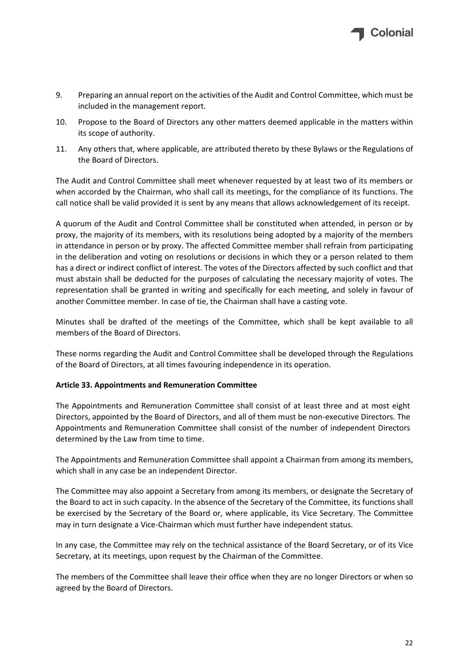

- 9. Preparing an annual report on the activities of the Audit and Control Committee, which must be included in the management report.
- 10. Propose to the Board of Directors any other matters deemed applicable in the matters within its scope of authority.
- 11. Any others that, where applicable, are attributed thereto by these Bylaws or the Regulations of the Board of Directors.

The Audit and Control Committee shall meet whenever requested by at least two of its members or when accorded by the Chairman, who shall call its meetings, for the compliance of its functions. The call notice shall be valid provided it is sent by any means that allows acknowledgement of its receipt.

A quorum of the Audit and Control Committee shall be constituted when attended, in person or by proxy, the majority of its members, with its resolutions being adopted by a majority of the members in attendance in person or by proxy. The affected Committee member shall refrain from participating in the deliberation and voting on resolutions or decisions in which they or a person related to them has a direct or indirect conflict of interest. The votes of the Directors affected by such conflict and that must abstain shall be deducted for the purposes of calculating the necessary majority of votes. The representation shall be granted in writing and specifically for each meeting, and solely in favour of another Committee member. In case of tie, the Chairman shall have a casting vote.

Minutes shall be drafted of the meetings of the Committee, which shall be kept available to all members of the Board of Directors.

These norms regarding the Audit and Control Committee shall be developed through the Regulations of the Board of Directors, at all times favouring independence in its operation.

# <span id="page-21-0"></span>**Article 33. Appointments and Remuneration Committee**

The Appointments and Remuneration Committee shall consist of at least three and at most eight Directors, appointed by the Board of Directors, and all of them must be non-executive Directors. The Appointments and Remuneration Committee shall consist of the number of independent Directors determined by the Law from time to time.

The Appointments and Remuneration Committee shall appoint a Chairman from among its members, which shall in any case be an independent Director.

The Committee may also appoint a Secretary from among its members, or designate the Secretary of the Board to act in such capacity. In the absence of the Secretary of the Committee, its functions shall be exercised by the Secretary of the Board or, where applicable, its Vice Secretary. The Committee may in turn designate a Vice-Chairman which must further have independent status.

In any case, the Committee may rely on the technical assistance of the Board Secretary, or of its Vice Secretary, at its meetings, upon request by the Chairman of the Committee.

The members of the Committee shall leave their office when they are no longer Directors or when so agreed by the Board of Directors.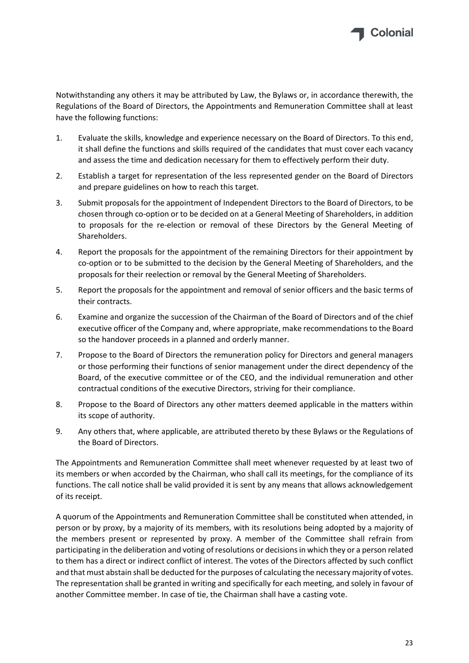

Notwithstanding any others it may be attributed by Law, the Bylaws or, in accordance therewith, the Regulations of the Board of Directors, the Appointments and Remuneration Committee shall at least have the following functions:

- 1. Evaluate the skills, knowledge and experience necessary on the Board of Directors. To this end, it shall define the functions and skills required of the candidates that must cover each vacancy and assess the time and dedication necessary for them to effectively perform their duty.
- 2. Establish a target for representation of the less represented gender on the Board of Directors and prepare guidelines on how to reach this target.
- 3. Submit proposals for the appointment of Independent Directors to the Board of Directors, to be chosen through co-option or to be decided on at a General Meeting of Shareholders, in addition to proposals for the re-election or removal of these Directors by the General Meeting of Shareholders.
- 4. Report the proposals for the appointment of the remaining Directors for their appointment by co-option or to be submitted to the decision by the General Meeting of Shareholders, and the proposals for their reelection or removal by the General Meeting of Shareholders.
- 5. Report the proposals for the appointment and removal of senior officers and the basic terms of their contracts.
- 6. Examine and organize the succession of the Chairman of the Board of Directors and of the chief executive officer of the Company and, where appropriate, make recommendations to the Board so the handover proceeds in a planned and orderly manner.
- 7. Propose to the Board of Directors the remuneration policy for Directors and general managers or those performing their functions of senior management under the direct dependency of the Board, of the executive committee or of the CEO, and the individual remuneration and other contractual conditions of the executive Directors, striving for their compliance.
- 8. Propose to the Board of Directors any other matters deemed applicable in the matters within its scope of authority.
- 9. Any others that, where applicable, are attributed thereto by these Bylaws or the Regulations of the Board of Directors.

The Appointments and Remuneration Committee shall meet whenever requested by at least two of its members or when accorded by the Chairman, who shall call its meetings, for the compliance of its functions. The call notice shall be valid provided it is sent by any means that allows acknowledgement of its receipt.

A quorum of the Appointments and Remuneration Committee shall be constituted when attended, in person or by proxy, by a majority of its members, with its resolutions being adopted by a majority of the members present or represented by proxy. A member of the Committee shall refrain from participating in the deliberation and voting ofresolutions or decisions in which they or a person related to them has a direct or indirect conflict of interest. The votes of the Directors affected by such conflict and that must abstain shall be deducted for the purposes of calculating the necessary majority of votes. The representation shall be granted in writing and specifically for each meeting, and solely in favour of another Committee member. In case of tie, the Chairman shall have a casting vote.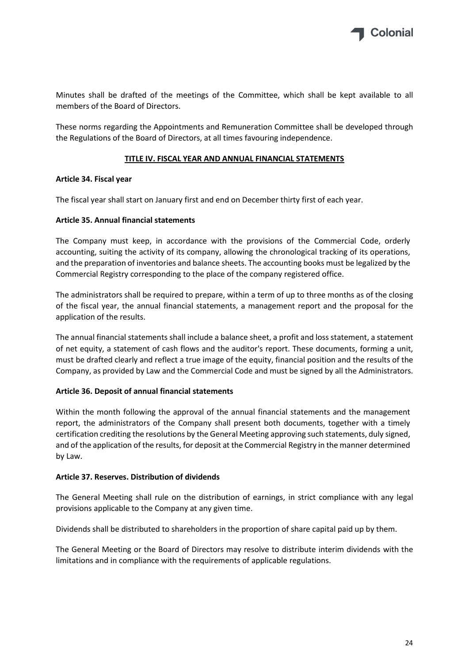

Minutes shall be drafted of the meetings of the Committee, which shall be kept available to all members of the Board of Directors.

These norms regarding the Appointments and Remuneration Committee shall be developed through the Regulations of the Board of Directors, at all times favouring independence.

# **TITLE IV. FISCAL YEAR AND ANNUAL FINANCIAL STATEMENTS**

#### <span id="page-23-1"></span><span id="page-23-0"></span>**Article 34. Fiscal year**

The fiscal year shall start on January first and end on December thirty first of each year.

#### <span id="page-23-2"></span>**Article 35. Annual financial statements**

The Company must keep, in accordance with the provisions of the Commercial Code, orderly accounting, suiting the activity of its company, allowing the chronological tracking of its operations, and the preparation of inventories and balance sheets. The accounting books must be legalized by the Commercial Registry corresponding to the place of the company registered office.

The administrators shall be required to prepare, within a term of up to three months as of the closing of the fiscal year, the annual financial statements, a management report and the proposal for the application of the results.

The annual financial statements shall include a balance sheet, a profit and loss statement, a statement of net equity, a statement of cash flows and the auditor's report. These documents, forming a unit, must be drafted clearly and reflect a true image of the equity, financial position and the results of the Company, as provided by Law and the Commercial Code and must be signed by all the Administrators.

#### <span id="page-23-3"></span>**Article 36. Deposit of annual financial statements**

Within the month following the approval of the annual financial statements and the management report, the administrators of the Company shall present both documents, together with a timely certification crediting the resolutions by the General Meeting approving such statements, duly signed, and of the application of the results, for deposit at the Commercial Registry in the manner determined by Law.

# <span id="page-23-4"></span>**Article 37. Reserves. Distribution of dividends**

The General Meeting shall rule on the distribution of earnings, in strict compliance with any legal provisions applicable to the Company at any given time.

Dividends shall be distributed to shareholders in the proportion of share capital paid up by them.

The General Meeting or the Board of Directors may resolve to distribute interim dividends with the limitations and in compliance with the requirements of applicable regulations.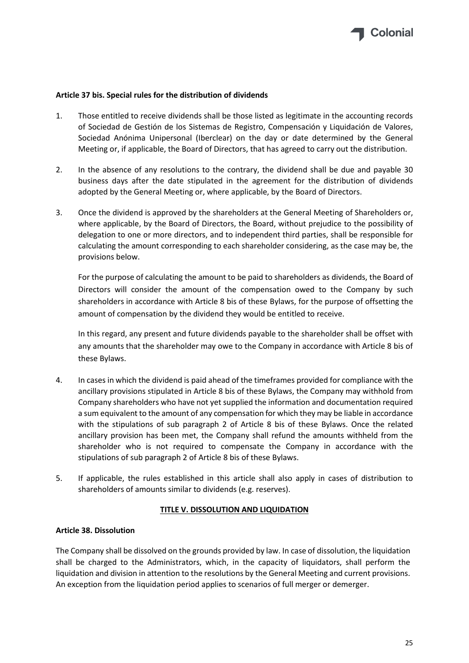

#### <span id="page-24-0"></span>**Article 37 bis. Special rules for the distribution of dividends**

- 1. Those entitled to receive dividends shall be those listed as legitimate in the accounting records of Sociedad de Gestión de los Sistemas de Registro, Compensación y Liquidación de Valores, Sociedad Anónima Unipersonal (Iberclear) on the day or date determined by the General Meeting or, if applicable, the Board of Directors, that has agreed to carry out the distribution.
- 2. In the absence of any resolutions to the contrary, the dividend shall be due and payable 30 business days after the date stipulated in the agreement for the distribution of dividends adopted by the General Meeting or, where applicable, by the Board of Directors.
- 3. Once the dividend is approved by the shareholders at the General Meeting of Shareholders or, where applicable, by the Board of Directors, the Board, without prejudice to the possibility of delegation to one or more directors, and to independent third parties, shall be responsible for calculating the amount corresponding to each shareholder considering, as the case may be, the provisions below.

For the purpose of calculating the amount to be paid to shareholders as dividends, the Board of Directors will consider the amount of the compensation owed to the Company by such shareholders in accordance with Article 8 bis of these Bylaws, for the purpose of offsetting the amount of compensation by the dividend they would be entitled to receive.

In this regard, any present and future dividends payable to the shareholder shall be offset with any amounts that the shareholder may owe to the Company in accordance with Article 8 bis of these Bylaws.

- 4. In cases in which the dividend is paid ahead of the timeframes provided for compliance with the ancillary provisions stipulated in Article 8 bis of these Bylaws, the Company may withhold from Company shareholders who have not yet supplied the information and documentation required a sum equivalent to the amount of any compensation for which they may be liable in accordance with the stipulations of sub paragraph 2 of Article 8 bis of these Bylaws. Once the related ancillary provision has been met, the Company shall refund the amounts withheld from the shareholder who is not required to compensate the Company in accordance with the stipulations of sub paragraph 2 of Article 8 bis of these Bylaws.
- 5. If applicable, the rules established in this article shall also apply in cases of distribution to shareholders of amounts similar to dividends (e.g. reserves).

#### **TITLE V. DISSOLUTION AND LIQUIDATION**

#### <span id="page-24-2"></span><span id="page-24-1"></span>**Article 38. Dissolution**

The Company shall be dissolved on the grounds provided by law. In case of dissolution, the liquidation shall be charged to the Administrators, which, in the capacity of liquidators, shall perform the liquidation and division in attention to the resolutions by the General Meeting and current provisions. An exception from the liquidation period applies to scenarios of full merger or demerger.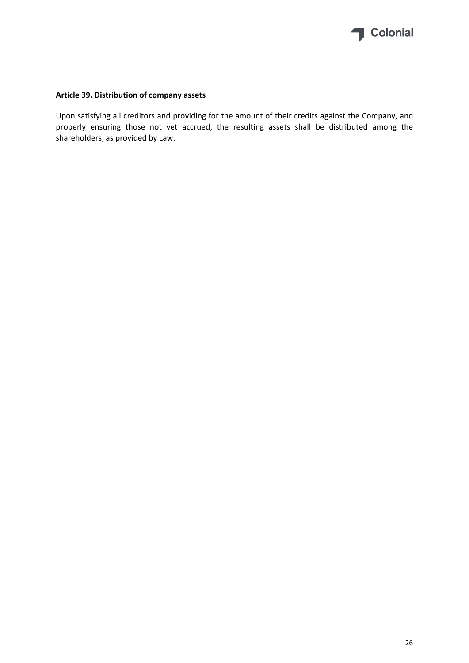

# <span id="page-25-0"></span>**Article 39. Distribution of company assets**

Upon satisfying all creditors and providing for the amount of their credits against the Company, and properly ensuring those not yet accrued, the resulting assets shall be distributed among the shareholders, as provided by Law.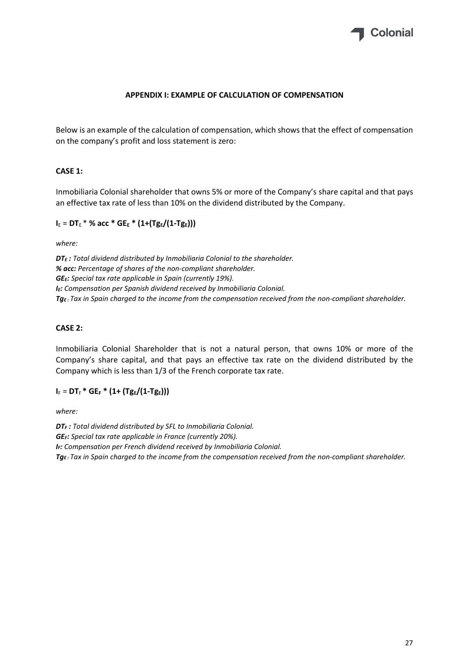

#### **APPENDIX I: EXAMPLE OF CALCULATION OF COMPENSATION**

Below is an example of the calculation of compensation, which shows that the effect of compensation on the company's profit and loss statement is zero:

# **CASE 1:**

Inmobiliaria Colonial shareholder that owns 5% or more of the Company's share capital and that pays an effective tax rate of less than 10% on the dividend distributed by the Company.

# $I_F = DT_F * %$  acc \*  $GE_F * (1+(Tg_F/(1-Tg_F)))$

*where:*

*DT<sup>E</sup> : Total dividend distributed by Inmobiliaria Colonial to the shareholder. % acc: Percentage of shares of the non-compliant shareholder. GEE: Special tax rate applicable in Spain (currently 19%). IE: Compensation per Spanish dividend received by Inmobiliaria Colonial. Tg<sup>E</sup> : Tax in Spain charged to the income from the compensation received from the non-compliant shareholder.*

#### **CASE 2:**

Inmobiliaria Colonial Shareholder that is not a natural person, that owns 10% or more of the Company's share capital, and that pays an effective tax rate on the dividend distributed by the Company which is less than 1/3 of the French corporate tax rate.

#### $I_F = DT_F * GE_F * (1 + (Tg_E/(1-Tg_E)))$

*where:*

*DT<sup>F</sup> : Total dividend distributed by SFL to Inmobiliaria Colonial. GEF: Special tax rate applicable in France (currently 20%). IF: Compensation per French dividend received by Inmobiliaria Colonial. Tg<sup>E</sup> : Tax in Spain charged to the income from the compensation received from the non-compliant shareholder.*